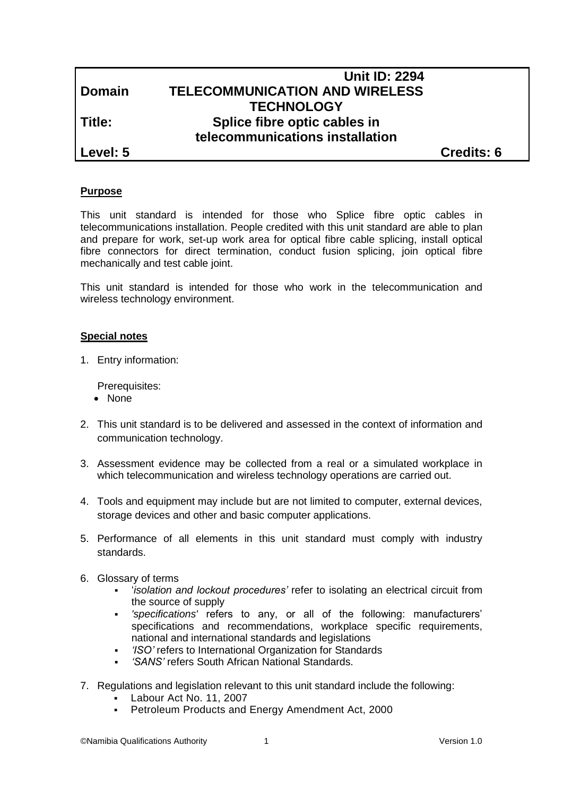# **Unit ID: 2294 Domain TELECOMMUNICATION AND WIRELESS TECHNOLOGY Title: Splice fibre optic cables in telecommunications installation**

**Level: 5 Credits: 6**

### **Purpose**

This unit standard is intended for those who Splice fibre optic cables in telecommunications installation. People credited with this unit standard are able to plan and prepare for work, set-up work area for optical fibre cable splicing, install optical fibre connectors for direct termination, conduct fusion splicing, join optical fibre mechanically and test cable joint.

This unit standard is intended for those who work in the telecommunication and wireless technology environment.

#### **Special notes**

1. Entry information:

Prerequisites:

- None
- 2. This unit standard is to be delivered and assessed in the context of information and communication technology.
- 3. Assessment evidence may be collected from a real or a simulated workplace in which telecommunication and wireless technology operations are carried out.
- 4. Tools and equipment may include but are not limited to computer, external devices, storage devices and other and basic computer applications.
- 5. Performance of all elements in this unit standard must comply with industry standards.
- 6. Glossary of terms
	- '*isolation and lockout procedures'* refer to isolating an electrical circuit from the source of supply
	- *'specifications'* refers to any, or all of the following: manufacturers' specifications and recommendations, workplace specific requirements, national and international standards and legislations
	- *'ISO'* refers to International Organization for Standards
	- *'SANS'* refers South African National Standards.
- 7. Regulations and legislation relevant to this unit standard include the following:
	- Labour Act No. 11, 2007
	- Petroleum Products and Energy Amendment Act, 2000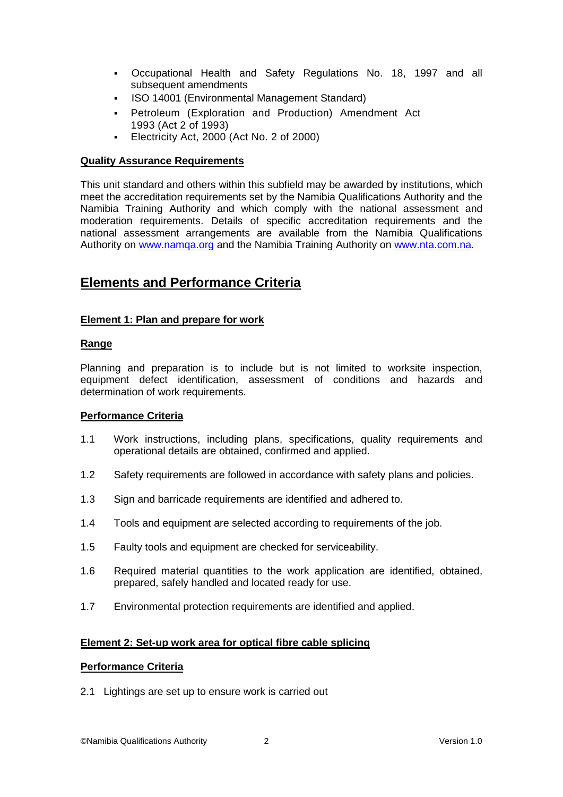- Occupational Health and Safety Regulations No. 18, 1997 and all subsequent amendments
- **ISO 14001 (Environmental Management Standard)**
- Petroleum (Exploration and Production) Amendment Act 1993 (Act 2 of 1993)
- Electricity Act, 2000 (Act No. 2 of 2000)

#### **Quality Assurance Requirements**

This unit standard and others within this subfield may be awarded by institutions, which meet the accreditation requirements set by the Namibia Qualifications Authority and the Namibia Training Authority and which comply with the national assessment and moderation requirements. Details of specific accreditation requirements and the national assessment arrangements are available from the Namibia Qualifications Authority on [www.namqa.org](http://www.namqa.org/) and the Namibia Training Authority on [www.nta.com.na.](http://www.nta.com.na/)

## **Elements and Performance Criteria**

#### **Element 1: Plan and prepare for work**

#### **Range**

Planning and preparation is to include but is not limited to worksite inspection, equipment defect identification, assessment of conditions and hazards and determination of work requirements.

#### **Performance Criteria**

- 1.1 Work instructions, including plans, specifications, quality requirements and operational details are obtained, confirmed and applied.
- 1.2 Safety requirements are followed in accordance with safety plans and policies.
- 1.3 Sign and barricade requirements are identified and adhered to.
- 1.4 Tools and equipment are selected according to requirements of the job.
- 1.5 Faulty tools and equipment are checked for serviceability.
- 1.6 Required material quantities to the work application are identified, obtained, prepared, safely handled and located ready for use.
- 1.7 Environmental protection requirements are identified and applied.

#### **Element 2: Set-up work area for optical fibre cable splicing**

#### **Performance Criteria**

2.1 Lightings are set up to ensure work is carried out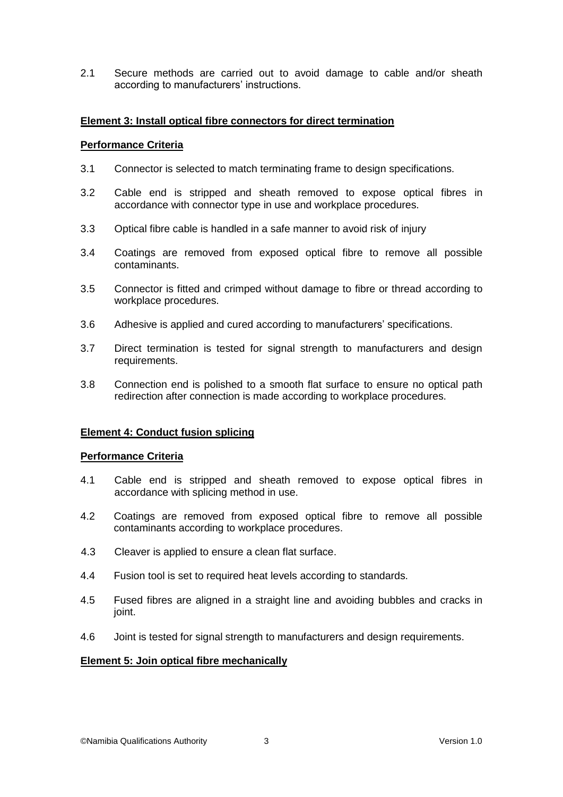2.1 Secure methods are carried out to avoid damage to cable and/or sheath according to manufacturers' instructions.

#### **Element 3: Install optical fibre connectors for direct termination**

#### **Performance Criteria**

- 3.1 Connector is selected to match terminating frame to design specifications.
- 3.2 Cable end is stripped and sheath removed to expose optical fibres in accordance with connector type in use and workplace procedures.
- 3.3 Optical fibre cable is handled in a safe manner to avoid risk of injury
- 3.4 Coatings are removed from exposed optical fibre to remove all possible contaminants.
- 3.5 Connector is fitted and crimped without damage to fibre or thread according to workplace procedures.
- 3.6 Adhesive is applied and cured according to manufacturers' specifications.
- 3.7 Direct termination is tested for signal strength to manufacturers and design requirements.
- 3.8 Connection end is polished to a smooth flat surface to ensure no optical path redirection after connection is made according to workplace procedures.

#### **Element 4: Conduct fusion splicing**

#### **Performance Criteria**

- 4.1 Cable end is stripped and sheath removed to expose optical fibres in accordance with splicing method in use.
- 4.2 Coatings are removed from exposed optical fibre to remove all possible contaminants according to workplace procedures.
- 4.3 Cleaver is applied to ensure a clean flat surface.
- 4.4 Fusion tool is set to required heat levels according to standards.
- 4.5 Fused fibres are aligned in a straight line and avoiding bubbles and cracks in joint.
- 4.6 Joint is tested for signal strength to manufacturers and design requirements.

#### **Element 5: Join optical fibre mechanically**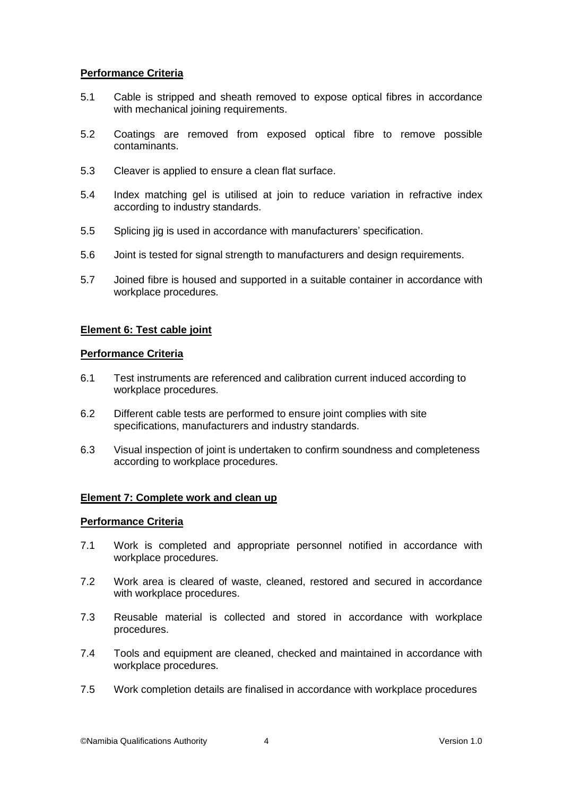### **Performance Criteria**

- 5.1 Cable is stripped and sheath removed to expose optical fibres in accordance with mechanical joining requirements.
- 5.2 Coatings are removed from exposed optical fibre to remove possible contaminants.
- 5.3 Cleaver is applied to ensure a clean flat surface.
- 5.4 Index matching gel is utilised at join to reduce variation in refractive index according to industry standards.
- 5.5 Splicing jig is used in accordance with manufacturers' specification.
- 5.6 Joint is tested for signal strength to manufacturers and design requirements.
- 5.7 Joined fibre is housed and supported in a suitable container in accordance with workplace procedures.

#### **Element 6: Test cable joint**

#### **Performance Criteria**

- 6.1 Test instruments are referenced and calibration current induced according to workplace procedures.
- 6.2 Different cable tests are performed to ensure joint complies with site specifications, manufacturers and industry standards.
- 6.3 Visual inspection of joint is undertaken to confirm soundness and completeness according to workplace procedures.

#### **Element 7: Complete work and clean up**

#### **Performance Criteria**

- 7.1 Work is completed and appropriate personnel notified in accordance with workplace procedures.
- 7.2 Work area is cleared of waste, cleaned, restored and secured in accordance with workplace procedures.
- 7.3 Reusable material is collected and stored in accordance with workplace procedures.
- 7.4 Tools and equipment are cleaned, checked and maintained in accordance with workplace procedures.
- 7.5 Work completion details are finalised in accordance with workplace procedures